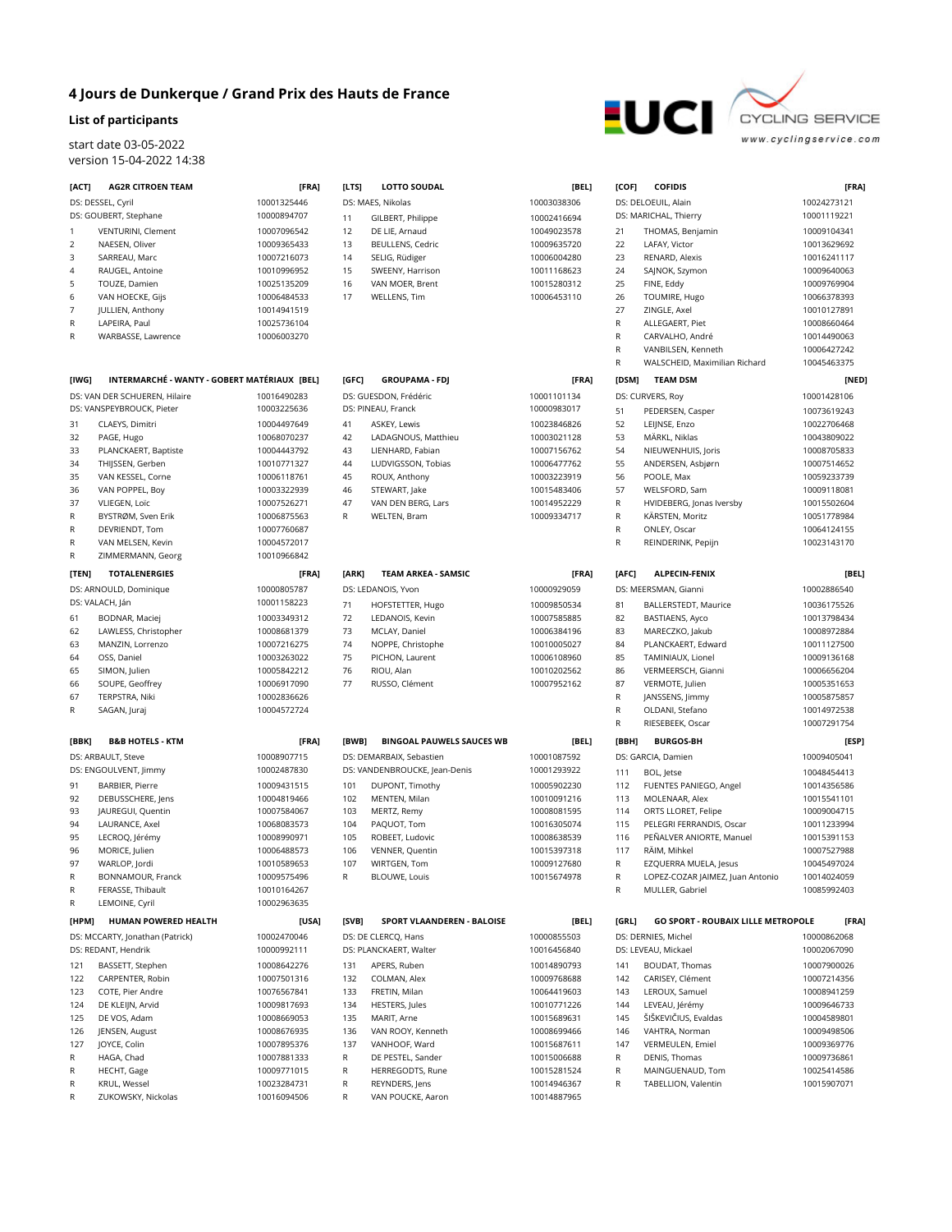## **4 Jours de Dunkerque / Grand Prix des Hauts de France**

## **List of participants**

start date 03-05-2022 version 15-04-2022 14:38

| [ACT] | <b>AG2R CITROEN TEAM</b>                                   | [FRA]                      | [LTS] | <b>LOTTO SOUDAL</b>                         | [BEL]                      |
|-------|------------------------------------------------------------|----------------------------|-------|---------------------------------------------|----------------------------|
|       | DS: DESSEL, Cyril                                          | 10001325446                |       | DS: MAES, Nikolas                           | 10003038306                |
|       | DS: GOUBERT, Stephane                                      | 10000894707                | 11    | GILBERT, Philippe                           | 10002416694                |
| 1     | VENTURINI, Clement                                         | 10007096542                | 12    | DE LIE, Arnaud                              | 10049023578                |
| 2     | NAESEN, Oliver                                             | 10009365433                | 13    | BEULLENS, Cedric                            | 10009635720                |
| 3     | SARREAU, Marc                                              | 10007216073                | 14    | SELIG, Rüdiger                              | 10006004280                |
| 4     | RAUGEL, Antoine                                            | 10010996952                | 15    | SWEENY, Harrison                            | 10011168623                |
| 5     | TOUZE, Damien                                              | 10025135209                | 16    | VAN MOER, Brent                             | 10015280312                |
| 6     | VAN HOECKE, Gijs                                           | 10006484533                | 17    | WELLENS, Tim                                | 10006453110                |
| 7     | JULLIEN, Anthony                                           | 10014941519                |       |                                             |                            |
| R     | LAPEIRA, Paul                                              | 10025736104                |       |                                             |                            |
| R     | WARBASSE, Lawrence                                         | 10006003270                |       |                                             |                            |
|       |                                                            |                            |       |                                             |                            |
| [IWG] | INTERMARCHÉ - WANTY - GOBERT MATÉRIAUX [BEL]               |                            | [GFC] | <b>GROUPAMA - FDJ</b>                       | [FRA]                      |
|       | DS: VAN DER SCHUEREN, Hilaire<br>DS: VANSPEYBROUCK, Pieter | 10016490283<br>10003225636 |       | DS: GUESDON, Frédéric<br>DS: PINEAU, Franck | 10001101134<br>10000983017 |
| 31    | CLAEYS, Dimitri                                            | 10004497649                | 41    | ASKEY, Lewis                                | 10023846826                |
| 32    | PAGE, Hugo                                                 | 10068070237                | 42    | LADAGNOUS, Matthieu                         | 10003021128                |
| 33    | PLANCKAERT, Baptiste                                       | 10004443792                | 43    | LIENHARD, Fabian                            | 10007156762                |
| 34    | THIJSSEN, Gerben                                           | 10010771327                | 44    | LUDVIGSSON, Tobias                          | 10006477762                |
| 35    | VAN KESSEL, Corne                                          | 10006118761                | 45    | ROUX, Anthony                               | 10003223919                |
| 36    | VAN POPPEL, Boy                                            | 10003322939                | 46    | STEWART, Jake                               | 10015483406                |
| 37    | VLIEGEN, Loïc                                              | 10007526271                | 47    | VAN DEN BERG, Lars                          | 10014952229                |
| R     | BYSTRØM, Sven Erik                                         | 10006875563                | R     | WELTEN, Bram                                | 10009334717                |
| R     | DEVRIENDT, Tom                                             | 10007760687                |       |                                             |                            |
| R     | VAN MELSEN, Kevin                                          | 10004572017                |       |                                             |                            |
| R     | ZIMMERMANN, Georg                                          | 10010966842                |       |                                             |                            |
| [TEN] | <b>TOTALENERGIES</b>                                       | [FRA]                      | [ARK] | <b>TEAM ARKEA - SAMSIC</b>                  | [FRA]                      |
|       | DS: ARNOULD, Dominique                                     | 10000805787                |       | DS: LEDANOIS, Yvon                          | 10000929059                |
|       | DS: VALACH, Ján                                            | 10001158223                | 71    | HOFSTETTER, Hugo                            | 10009850534                |
| 61    | BODNAR, Maciej                                             | 10003349312                | 72    | LEDANOIS, Kevin                             | 10007585885                |
| 62    | LAWLESS, Christopher                                       | 10008681379                | 73    | MCLAY, Daniel                               | 10006384196                |
| 63    | MANZIN, Lorrenzo                                           | 10007216275                | 74    | NOPPE, Christophe                           | 10010005027                |
| 64    | OSS, Daniel                                                | 10003263022                | 75    | PICHON, Laurent                             | 10006108960                |
| 65    | SIMON, Julien                                              | 10005842212                | 76    | RIOU, Alan                                  | 10010202562                |
| 66    | SOUPE, Geoffrey                                            | 10006917090                | 77    | RUSSO, Clément                              | 10007952162                |
| 67    | TERPSTRA, Niki                                             | 10002836626                |       |                                             |                            |
| R     | SAGAN, Juraj                                               | 10004572724                |       |                                             |                            |
| [BBK] | <b>B&amp;B HOTELS - KTM</b>                                | [FRA]                      | [BWB] | <b>BINGOAL PAUWELS SAUCES WB</b>            | [BEL]                      |
|       | DS: ARBAULT, Steve                                         | 10008907715                |       | DS: DEMARBAIX, Sebastien                    | 10001087592                |
|       | DS: ENGOULVENT, Jimmy                                      | 10002487830                |       | DS: VANDENBROUCKE, Jean-Denis               | 10001293922                |
| 91    | <b>BARBIER, Pierre</b>                                     | 10009431515                | 101   | DUPONT, Timothy                             | 10005902230                |
| 92    | DEBUSSCHERE, Jens                                          | 10004819466                | 102   | MENTEN, Milan                               | 10010091216                |
| 93    | JAUREGUI, Quentin                                          | 10007584067                | 103   | MERTZ, Remy                                 | 10008081595                |
| 94    | LAURANCE, Axel                                             | 10068083573                | 104   | PAQUOT, Tom                                 | 10016305074                |
| 95    | LECROQ, Jérémy                                             | 10008990971                | 105   | ROBEET, Ludovic                             | 10008638539                |
| 96    | MORICE, Julien                                             | 10006488573                | 106   | VENNER, Quentin                             | 10015397318                |
| 97    | WARLOP, Jordi                                              | 10010589653                | 107   | WIRTGEN, Tom                                | 10009127680                |
| R     | BONNAMOUR, Franck                                          | 10009575496                | R     | <b>BLOUWE, Louis</b>                        | 10015674978                |
| R     | FERASSE, Thibault                                          | 10010164267                |       |                                             |                            |
| R     | LEMOINE, Cyril                                             | 10002963635                |       |                                             |                            |
| [HPM] | <b>HUMAN POWERED HEALTH</b>                                | [USA]                      | [SVB] | SPORT VLAANDEREN - BALOISE                  | [BEL]                      |
|       | DS: MCCARTY, Jonathan (Patrick)                            | 10002470046                |       | DS: DE CLERCQ, Hans                         | 10000855503                |
|       | DS: REDANT, Hendrik                                        | 10000992111                |       | DS: PLANCKAERT, Walter                      | 10016456840                |
| 121   | BASSETT, Stephen                                           | 10008642276                | 131   | APERS, Ruben                                | 10014890793                |
| 122   | CARPENTER, Robin                                           | 10007501316                | 132   | COLMAN, Alex                                | 10009768688                |
| 123   | COTE, Pier Andre                                           | 10076567841                | 133   | FRETIN, Milan                               | 10064419603                |
| 124   | DE KLEIJN, Arvid                                           | 10009817693                | 134   | HESTERS, Jules                              | 10010771226                |
| 125   | DE VOS, Adam                                               | 10008669053                | 135   | MARIT, Arne                                 | 10015689631                |
| 126   | JENSEN, August                                             | 10008676935                | 136   | VAN ROOY, Kenneth                           | 10008699466                |
| 127   | JOYCE, Colin                                               | 10007895376                | 137   | VANHOOF, Ward                               | 10015687611                |
| R     | HAGA, Chad                                                 | 10007881333                | R     | DE PESTEL, Sander                           | 10015006688                |
| R     | HECHT, Gage                                                | 10009771015                | R     | HERREGODTS, Rune                            | 10015281524                |
| R     | KRUL, Wessel                                               | 10023284731                | R     | REYNDERS, Jens                              | 10014946367                |
| R     | ZUKOWSKY, Nickolas                                         | 10016094506                | R     | VAN POUCKE, Aaron                           | 10014887965                |





|                 | [BEL]                      | [COF] | <b>COFIDIS</b>                            | [FRA]                      |
|-----------------|----------------------------|-------|-------------------------------------------|----------------------------|
|                 | 10003038306                |       | DS: DELOEUIL, Alain                       | 10024273121                |
|                 | 10002416694                |       | DS: MARICHAL, Thierry                     | 10001119221                |
|                 | 10049023578                | 21    | THOMAS, Benjamin                          | 10009104341                |
|                 | 10009635720                | 22    | LAFAY, Victor                             | 10013629692                |
|                 | 10006004280                | 23    | RENARD, Alexis                            | 10016241117                |
|                 | 10011168623                | 24    | SAJNOK, Szymon                            | 10009640063                |
|                 | 10015280312                | 25    | FINE, Eddy                                | 10009769904                |
|                 | 10006453110                | 26    | TOUMIRE, Hugo                             | 10066378393                |
|                 |                            | 27    | ZINGLE, Axel                              | 10010127891                |
|                 |                            | R     | ALLEGAERT, Piet                           | 10008660464                |
|                 |                            | R     | CARVALHO, André                           | 10014490063                |
|                 |                            | R     | VANBILSEN, Kenneth                        | 10006427242                |
|                 |                            | R     | WALSCHEID, Maximilian Richard             | 10045463375                |
|                 | [FRA]                      | [DSM] | <b>TEAM DSM</b>                           | [NED]                      |
|                 | 10001101134                |       | DS: CURVERS, Roy                          | 10001428106                |
|                 | 10000983017                |       |                                           |                            |
|                 |                            | 51    | PEDERSEN, Casper                          | 10073619243                |
|                 | 10023846826                | 52    | LEIJNSE, Enzo                             | 10022706468                |
|                 | 10003021128                | 53    | MÄRKL, Niklas                             | 10043809022                |
|                 | 10007156762                | 54    | NIEUWENHUIS, Joris                        | 10008705833                |
|                 | 10006477762<br>10003223919 | 55    | ANDERSEN, Asbjørn                         | 10007514652<br>10059233739 |
|                 |                            | 56    | POOLE, Max                                |                            |
|                 | 10015483406                | 57    | WELSFORD, Sam                             | 10009118081                |
|                 | 10014952229                | R     | HVIDEBERG, Jonas Iversby                  | 10015502604                |
|                 | 10009334717                | R     | KÄRSTEN, Moritz                           | 10051778984                |
|                 |                            | R     | ONLEY, Oscar                              | 10064124155                |
|                 |                            | R     | REINDERINK, Pepijn                        | 10023143170                |
|                 |                            |       |                                           |                            |
|                 | [FRA]                      | [AFC] | <b>ALPECIN-FENIX</b>                      | [BEL]                      |
|                 | 10000929059                |       | DS: MEERSMAN, Gianni                      | 10002886540                |
|                 | 10009850534                | 81    | BALLERSTEDT, Maurice                      | 10036175526                |
|                 | 10007585885                | 82    | BASTIAENS, Ayco                           | 10013798434                |
|                 | 10006384196                | 83    | MARECZKO, Jakub                           | 10008972884                |
|                 | 10010005027                | 84    | PLANCKAERT, Edward                        | 10011127500                |
|                 | 10006108960                | 85    | TAMINIAUX, Lionel                         | 10009136168                |
|                 | 10010202562                | 86    | VERMEERSCH, Gianni                        | 10006656204                |
|                 | 10007952162                | 87    | VERMOTE, Julien                           | 10005351653                |
|                 |                            | R     | JANSSENS, Jimmy                           | 10005875857                |
|                 |                            | R     | OLDANI, Stefano                           | 10014972538                |
|                 |                            | R     | RIESEBEEK, Oscar                          | 10007291754                |
| <b>IUCES WB</b> | [BEL]                      | [BBH] | <b>BURGOS-BH</b>                          | [ESP]                      |
|                 | 10001087592                |       | DS: GARCIA, Damien                        | 10009405041                |
| ŝ               |                            |       |                                           |                            |
|                 | 10001293922                | 111   | BOL, Jetse                                | 10048454413                |
|                 | 10005902230                | 112   | FUENTES PANIEGO, Angel                    | 10014356586                |
|                 | 10010091216                | 113   | MOLENAAR, Alex                            | 10015541101                |
|                 | 10008081595                | 114   | ORTS LLORET, Felipe                       | 10009004715                |
|                 | 10016305074                | 115   | PELEGRI FERRANDIS, Oscar                  | 10011233994                |
|                 | 10008638539                | 116   | PEÑALVER ANIORTE, Manuel                  | 10015391153                |
|                 | 10015397318                | 117   | RÄIM, Mihkel                              | 10007527988                |
|                 | 10009127680                | R     | EZQUERRA MUELA, Jesus                     | 10045497024                |
|                 | 10015674978                | R     | LOPEZ-COZAR JAIMEZ, Juan Antonio          | 10014024059                |
|                 |                            | R     | MULLER, Gabriel                           | 10085992403                |
|                 |                            |       |                                           |                            |
| <b>BALOISE</b>  | [BEL]                      | [GRL] | <b>GO SPORT - ROUBAIX LILLE METROPOLE</b> | [FRA]                      |
|                 | 10000855503                |       | DS: DERNIES, Michel                       | 10000862068                |
|                 | 10016456840                |       | DS: LEVEAU, Mickael                       | 10002067090                |
|                 | 10014890793                | 141   | BOUDAT, Thomas                            | 10007900026                |
|                 | 10009768688                | 142   | CARISEY, Clément                          | 10007214356                |
|                 | 10064419603                | 143   | LEROUX, Samuel                            | 10008941259                |
|                 | 10010771226                | 144   | LEVEAU, Jérémy                            | 10009646733                |
|                 | 10015689631                | 145   | ŠIŠKEVIČIUS, Evaldas                      | 10004589801                |
|                 | 10008699466                | 146   | VAHTRA, Norman                            | 10009498506                |
|                 | 10015687611                | 147   | VERMEULEN, Emiel                          | 10009369776                |
|                 | 10015006688                | R     | DENIS, Thomas                             | 10009736861                |
|                 | 10015281524                | R     | MAINGUENAUD, Tom                          | 10025414586                |
|                 | 10014946367                | R     | TABELLION, Valentin                       | 10015907071                |